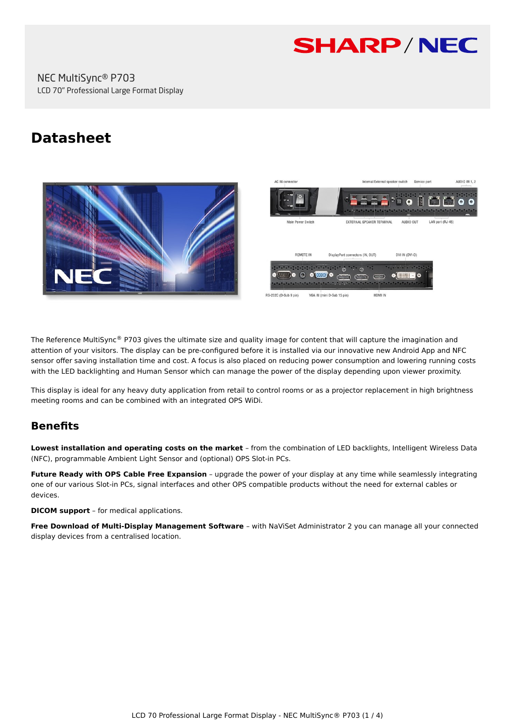

# **Datasheet**





The Reference MultiSync® P703 gives the ultimate size and quality image for content that will capture the imagination and attention of your visitors. The display can be pre-configured before it is installed via our innovative new Android App and NFC sensor offer saving installation time and cost. A focus is also placed on reducing power consumption and lowering running costs with the LED backlighting and Human Sensor which can manage the power of the display depending upon viewer proximity.

This display is ideal for any heavy duty application from retail to control rooms or as a projector replacement in high brightness meeting rooms and can be combined with an integrated OPS WiDi.

# **Benefits**

**Lowest installation and operating costs on the market** – from the combination of LED backlights, Intelligent Wireless Data (NFC), programmable Ambient Light Sensor and (optional) OPS Slot-in PCs.

**Future Ready with OPS Cable Free Expansion** – upgrade the power of your display at any time while seamlessly integrating one of our various Slot-in PCs, signal interfaces and other OPS compatible products without the need for external cables or devices.

**DICOM support** – for medical applications.

**Free Download of Multi-Display Management Software** – with NaViSet Administrator 2 you can manage all your connected display devices from a centralised location.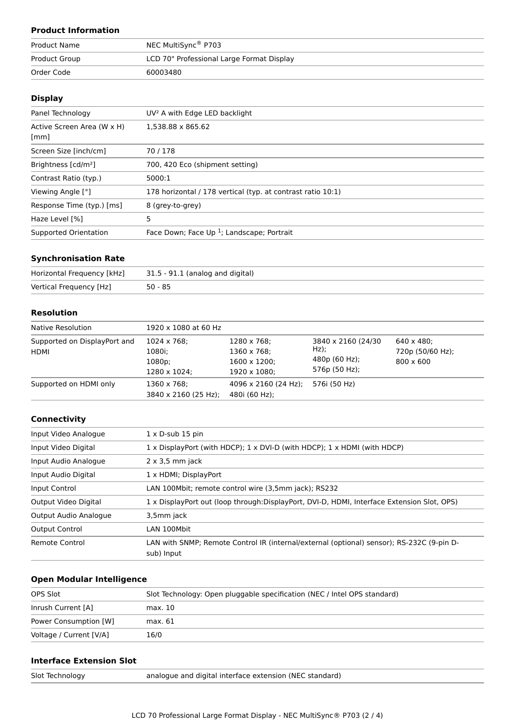# **Product Information**

| <b>Product Name</b> | NEC MultiSync® P703                       |
|---------------------|-------------------------------------------|
| Product Group       | LCD 70" Professional Large Format Display |
| Order Code          | 60003480                                  |

# **Display**

| Panel Technology                   | UV <sup>2</sup> A with Edge LED backlight                   |
|------------------------------------|-------------------------------------------------------------|
| Active Screen Area (W x H)<br>[mm] | 1.538.88 x 865.62                                           |
| Screen Size [inch/cm]              | 70/178                                                      |
| Brightness [cd/m <sup>2</sup> ]    | 700, 420 Eco (shipment setting)                             |
| Contrast Ratio (typ.)              | 5000:1                                                      |
| Viewing Angle [°]                  | 178 horizontal / 178 vertical (typ. at contrast ratio 10:1) |
| Response Time (typ.) [ms]          | 8 (grey-to-grey)                                            |
| Haze Level [%]                     | 5                                                           |
| Supported Orientation              | Face Down; Face Up $1$ ; Landscape; Portrait                |

### **Synchronisation Rate**

| Horizontal Frequency [kHz] | 31.5 - 91.1 (analog and digital) |
|----------------------------|----------------------------------|
| Vertical Frequency [Hz]    | $50 - 85$                        |

#### **Resolution**

| Native Resolution                           | 1920 x 1080 at 60 Hz                                    |                                                                    |                                                                  |                                                            |
|---------------------------------------------|---------------------------------------------------------|--------------------------------------------------------------------|------------------------------------------------------------------|------------------------------------------------------------|
| Supported on DisplayPort and<br><b>HDMI</b> | $1024 \times 768$ ;<br>1080i;<br>1080p;<br>1280 x 1024: | 1280 x 768;<br>1360 x 768;<br>$1600 \times 1200$ :<br>1920 x 1080: | 3840 x 2160 (24/30)<br>$Hz$ );<br>480p (60 Hz);<br>576p (50 Hz); | $640 \times 480$ :<br>720p (50/60 Hz);<br>$800 \times 600$ |
| Supported on HDMI only                      | 1360 x 768;<br>3840 x 2160 (25 Hz);                     | 4096 x 2160 (24 Hz);<br>480i (60 Hz);                              | 576i (50 Hz)                                                     |                                                            |

#### **Connectivity**

| Input Video Analogue  | $1 \times D$ -sub 15 pin                                                                                |  |
|-----------------------|---------------------------------------------------------------------------------------------------------|--|
| Input Video Digital   | $1 \times$ DisplayPort (with HDCP); $1 \times$ DVI-D (with HDCP); $1 \times$ HDMI (with HDCP)           |  |
| Input Audio Analogue  | $2 \times 3.5$ mm jack                                                                                  |  |
| Input Audio Digital   | 1 x HDMI; DisplayPort                                                                                   |  |
| Input Control         | LAN 100Mbit; remote control wire (3,5mm jack); RS232                                                    |  |
| Output Video Digital  | 1 x DisplayPort out (loop through:DisplayPort, DVI-D, HDMI, Interface Extension Slot, OPS)              |  |
| Output Audio Analogue | 3,5mm jack                                                                                              |  |
| <b>Output Control</b> | LAN 100Mbit                                                                                             |  |
| Remote Control        | LAN with SNMP; Remote Control IR (internal/external (optional) sensor); RS-232C (9-pin D-<br>sub) Input |  |

# **Open Modular Intelligence**

| OPS Slot                | Slot Technology: Open pluggable specification (NEC / Intel OPS standard) |
|-------------------------|--------------------------------------------------------------------------|
| Inrush Current [A]      | max. 10                                                                  |
| Power Consumption [W]   | max. 61                                                                  |
| Voltage / Current [V/A] | 16/0                                                                     |

# **Interface Extension Slot**

|  | Slot Technology |  |  |  |
|--|-----------------|--|--|--|
|--|-----------------|--|--|--|

analogue and digital interface extension (NEC standard)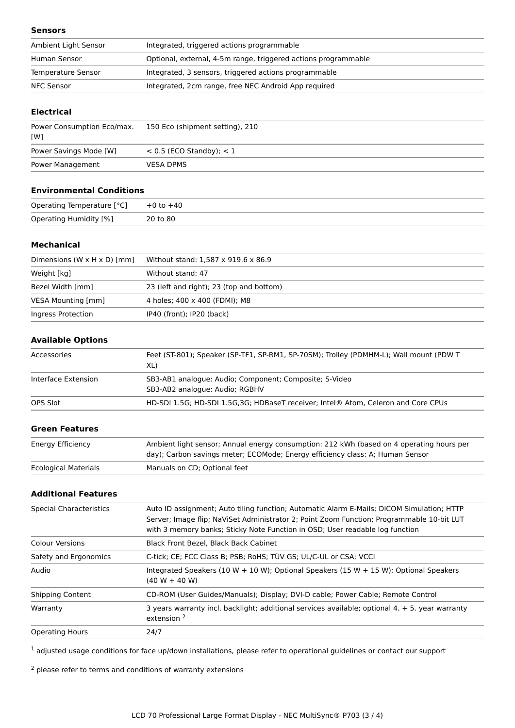#### **Sensors**

| Ambient Light Sensor | Integrated, triggered actions programmable                     |  |
|----------------------|----------------------------------------------------------------|--|
| Human Sensor         | Optional, external, 4-5m range, triggered actions programmable |  |
| Temperature Sensor   | Integrated, 3 sensors, triggered actions programmable          |  |
| NFC Sensor           | Integrated, 2cm range, free NEC Android App required           |  |

### **Electrical**

| Power Consumption Eco/max.<br>[W] | 150 Eco (shipment setting), 210 |
|-----------------------------------|---------------------------------|
| Power Savings Mode [W]            | $< 0.5$ (ECO Standby); $< 1$    |
| Power Management                  | <b>VESA DPMS</b>                |

# **Environmental Conditions**

| Operating Temperature [°C]    | $+0$ to $+40$ |
|-------------------------------|---------------|
| <b>Operating Humidity [%]</b> | 20 to 80      |

#### **Mechanical**

| Dimensions (W $\times$ H $\times$ D) [mm] | Without stand: 1,587 x 919.6 x 86.9      |
|-------------------------------------------|------------------------------------------|
| Weight [kg]                               | Without stand: 47                        |
| Bezel Width [mm]                          | 23 (left and right); 23 (top and bottom) |
| VESA Mounting [mm]                        | 4 holes; 400 x 400 (FDMI); M8            |
| Ingress Protection                        | IP40 (front); IP20 (back)                |

# **Available Options**

| Accessories         | Feet (ST-801); Speaker (SP-TF1, SP-RM1, SP-70SM); Trolley (PDMHM-L); Wall mount (PDW T<br>XL) |
|---------------------|-----------------------------------------------------------------------------------------------|
| Interface Extension | SB3-AB1 analogue: Audio; Component; Composite; S-Video<br>SB3-AB2 analogue: Audio; RGBHV      |
| OPS Slot            | HD-SDI 1.5G; HD-SDI 1.5G, 3G; HDBaseT receiver; Intel® Atom, Celeron and Core CPUs            |

#### **Green Features**

| Energy Efficiency           | Ambient light sensor; Annual energy consumption: 212 kWh (based on 4 operating hours per<br>day); Carbon savings meter; ECOMode; Energy efficiency class: A; Human Sensor |
|-----------------------------|---------------------------------------------------------------------------------------------------------------------------------------------------------------------------|
| <b>Ecological Materials</b> | Manuals on CD; Optional feet                                                                                                                                              |

#### **Additional Features**

| <b>Special Characteristics</b> | Auto ID assignment; Auto tiling function; Automatic Alarm E-Mails; DICOM Simulation; HTTP                                                                                 |
|--------------------------------|---------------------------------------------------------------------------------------------------------------------------------------------------------------------------|
|                                | Server; Image flip; NaViSet Administrator 2; Point Zoom Function; Programmable 10-bit LUT<br>with 3 memory banks; Sticky Note Function in OSD; User readable log function |
| <b>Colour Versions</b>         | Black Front Bezel, Black Back Cabinet                                                                                                                                     |
| Safety and Ergonomics          | C-tick; CE; FCC Class B; PSB; RoHS; TÜV GS; UL/C-UL or CSA; VCCI                                                                                                          |
| Audio                          | Integrated Speakers (10 W + 10 W); Optional Speakers (15 W + 15 W); Optional Speakers<br>$(40 W + 40 W)$                                                                  |
| <b>Shipping Content</b>        | CD-ROM (User Guides/Manuals); Display; DVI-D cable; Power Cable; Remote Control                                                                                           |
| Warranty                       | 3 years warranty incl. backlight; additional services available; optional 4. + 5. year warranty<br>extension <sup>2</sup>                                                 |
| <b>Operating Hours</b>         | 24/7                                                                                                                                                                      |

 $1$  adjusted usage conditions for face up/down installations, please refer to operational guidelines or contact our support

<sup>2</sup> please refer to terms and conditions of warranty extensions